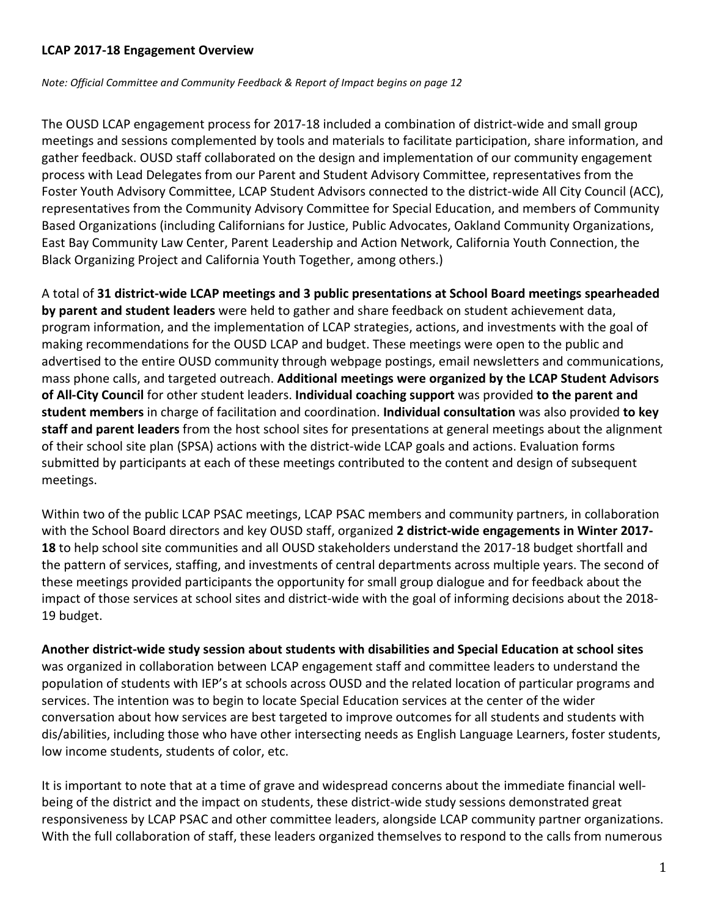### **LCAP 2017-18 Engagement Overview**

*Note: Official Committee and Community Feedback & Report of Impact begins on page 12*

The OUSD LCAP engagement process for 2017-18 included a combination of district-wide and small group meetings and sessions complemented by tools and materials to facilitate participation, share information, and gather feedback. OUSD staff collaborated on the design and implementation of our community engagement process with Lead Delegates from our Parent and Student Advisory Committee, representatives from the Foster Youth Advisory Committee, LCAP Student Advisors connected to the district-wide All City Council (ACC), representatives from the Community Advisory Committee for Special Education, and members of Community Based Organizations (including Californians for Justice, Public Advocates, Oakland Community Organizations, East Bay Community Law Center, Parent Leadership and Action Network, California Youth Connection, the Black Organizing Project and California Youth Together, among others.)

A total of **31 district-wide LCAP meetings and 3 public presentations at School Board meetings spearheaded by parent and student leaders** were held to gather and share feedback on student achievement data, program information, and the implementation of LCAP strategies, actions, and investments with the goal of making recommendations for the OUSD LCAP and budget. These meetings were open to the public and advertised to the entire OUSD community through webpage postings, email newsletters and communications, mass phone calls, and targeted outreach. **Additional meetings were organized by the LCAP Student Advisors of All-City Council** for other student leaders. **Individual coaching support** was provided **to the parent and student members** in charge of facilitation and coordination. **Individual consultation** was also provided **to key staff and parent leaders** from the host school sites for presentations at general meetings about the alignment of their school site plan (SPSA) actions with the district-wide LCAP goals and actions. Evaluation forms submitted by participants at each of these meetings contributed to the content and design of subsequent meetings.

Within two of the public LCAP PSAC meetings, LCAP PSAC members and community partners, in collaboration with the School Board directors and key OUSD staff, organized **2 district-wide engagements in Winter 2017- 18** to help school site communities and all OUSD stakeholders understand the 2017-18 budget shortfall and the pattern of services, staffing, and investments of central departments across multiple years. The second of these meetings provided participants the opportunity for small group dialogue and for feedback about the impact of those services at school sites and district-wide with the goal of informing decisions about the 2018- 19 budget.

**Another district-wide study session about students with disabilities and Special Education at school sites** was organized in collaboration between LCAP engagement staff and committee leaders to understand the population of students with IEP's at schools across OUSD and the related location of particular programs and services. The intention was to begin to locate Special Education services at the center of the wider conversation about how services are best targeted to improve outcomes for all students and students with dis/abilities, including those who have other intersecting needs as English Language Learners, foster students, low income students, students of color, etc.

It is important to note that at a time of grave and widespread concerns about the immediate financial wellbeing of the district and the impact on students, these district-wide study sessions demonstrated great responsiveness by LCAP PSAC and other committee leaders, alongside LCAP community partner organizations. With the full collaboration of staff, these leaders organized themselves to respond to the calls from numerous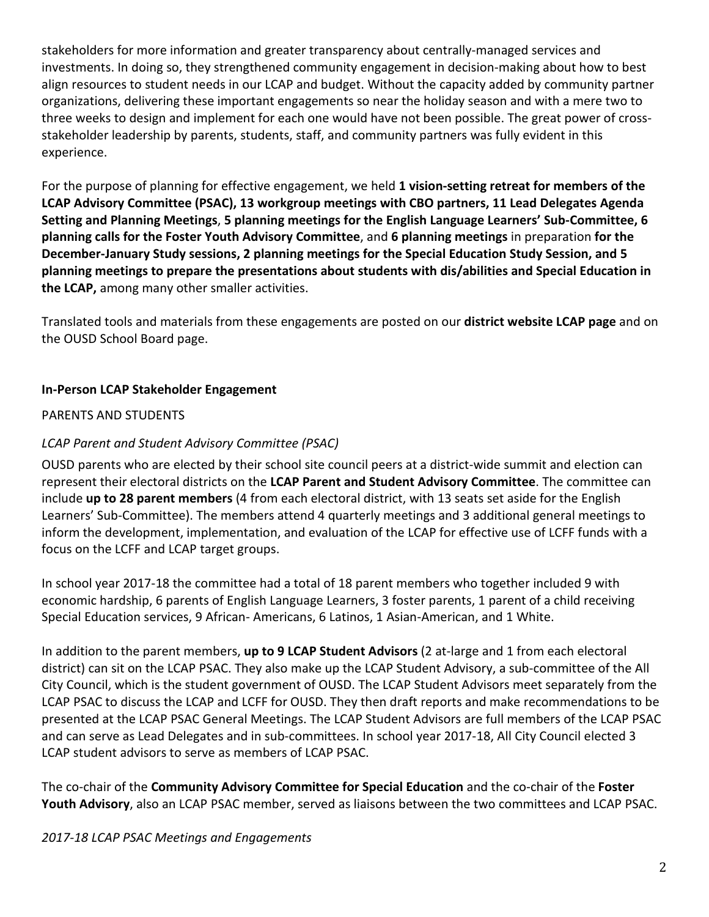stakeholders for more information and greater transparency about centrally-managed services and investments. In doing so, they strengthened community engagement in decision-making about how to best align resources to student needs in our LCAP and budget. Without the capacity added by community partner organizations, delivering these important engagements so near the holiday season and with a mere two to three weeks to design and implement for each one would have not been possible. The great power of crossstakeholder leadership by parents, students, staff, and community partners was fully evident in this experience.

For the purpose of planning for effective engagement, we held **1 vision-setting retreat for members of the LCAP Advisory Committee (PSAC), 13 workgroup meetings with CBO partners, 11 Lead Delegates Agenda Setting and Planning Meetings**, **5 planning meetings for the English Language Learners' Sub-Committee, 6 planning calls for the Foster Youth Advisory Committee**, and **6 planning meetings** in preparation **for the December-January Study sessions, 2 planning meetings for the Special Education Study Session, and 5 planning meetings to prepare the presentations about students with dis/abilities and Special Education in the LCAP,** among many other smaller activities.

Translated tools and materials from these engagements are posted on our **district website LCAP page** and on the OUSD School Board page.

### **In-Person LCAP Stakeholder Engagement**

#### PARENTS AND STUDENTS

### *LCAP Parent and Student Advisory Committee (PSAC)*

OUSD parents who are elected by their school site council peers at a district-wide summit and election can represent their electoral districts on the **LCAP Parent and Student Advisory Committee**. The committee can include **up to 28 parent members** (4 from each electoral district, with 13 seats set aside for the English Learners' Sub-Committee). The members attend 4 quarterly meetings and 3 additional general meetings to inform the development, implementation, and evaluation of the LCAP for effective use of LCFF funds with a focus on the LCFF and LCAP target groups.

In school year 2017-18 the committee had a total of 18 parent members who together included 9 with economic hardship, 6 parents of English Language Learners, 3 foster parents, 1 parent of a child receiving Special Education services, 9 African- Americans, 6 Latinos, 1 Asian-American, and 1 White.

In addition to the parent members, **up to 9 LCAP Student Advisors** (2 at-large and 1 from each electoral district) can sit on the LCAP PSAC. They also make up the LCAP Student Advisory, a sub-committee of the All City Council, which is the student government of OUSD. The LCAP Student Advisors meet separately from the LCAP PSAC to discuss the LCAP and LCFF for OUSD. They then draft reports and make recommendations to be presented at the LCAP PSAC General Meetings. The LCAP Student Advisors are full members of the LCAP PSAC and can serve as Lead Delegates and in sub-committees. In school year 2017-18, All City Council elected 3 LCAP student advisors to serve as members of LCAP PSAC.

The co-chair of the **Community Advisory Committee for Special Education** and the co-chair of the **Foster Youth Advisory**, also an LCAP PSAC member, served as liaisons between the two committees and LCAP PSAC.

### *2017-18 LCAP PSAC Meetings and Engagements*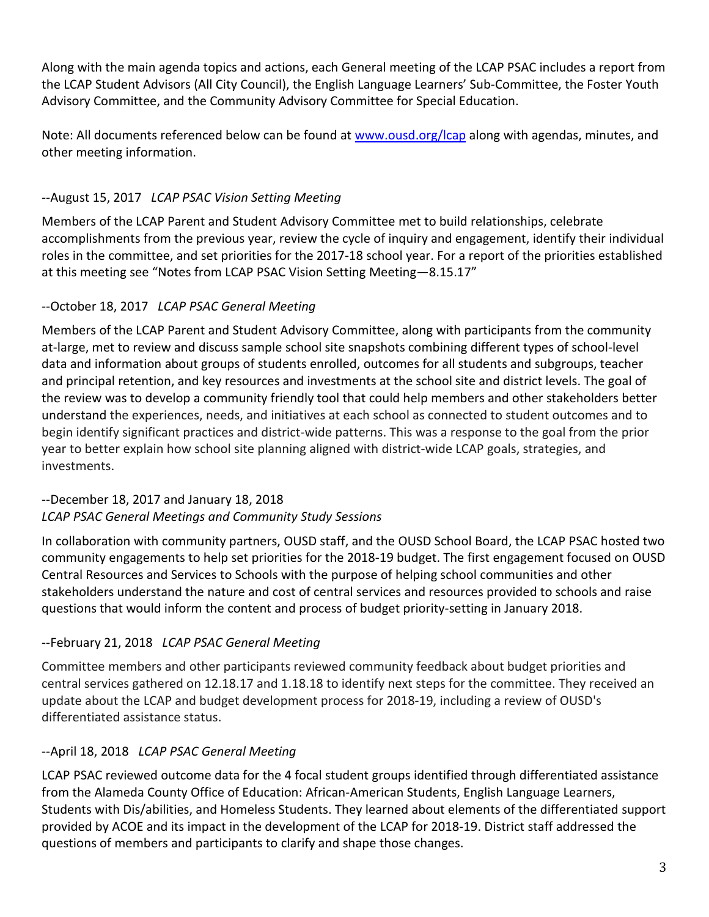Along with the main agenda topics and actions, each General meeting of the LCAP PSAC includes a report from the LCAP Student Advisors (All City Council), the English Language Learners' Sub-Committee, the Foster Youth Advisory Committee, and the Community Advisory Committee for Special Education.

Note: All documents referenced below can be found at [www.ousd.org/lcap](http://www.ousd.org/lcap) along with agendas, minutes, and other meeting information.

# *--*August 15, 2017 *LCAP PSAC Vision Setting Meeting*

Members of the LCAP Parent and Student Advisory Committee met to build relationships, celebrate accomplishments from the previous year, review the cycle of inquiry and engagement, identify their individual roles in the committee, and set priorities for the 2017-18 school year. For a report of the priorities established at this meeting see "Notes from LCAP PSAC Vision Setting Meeting—8.15.17"

# *--*October 18, 2017 *LCAP PSAC General Meeting*

Members of the LCAP Parent and Student Advisory Committee, along with participants from the community at-large, met to review and discuss sample school site snapshots combining different types of school-level data and information about groups of students enrolled, outcomes for all students and subgroups, teacher and principal retention, and key resources and investments at the school site and district levels. The goal of the review was to develop a community friendly tool that could help members and other stakeholders better understand the experiences, needs, and initiatives at each school as connected to student outcomes and to begin identify significant practices and district-wide patterns. This was a response to the goal from the prior year to better explain how school site planning aligned with district-wide LCAP goals, strategies, and investments.

# --December 18, 2017 and January 18, 2018 *LCAP PSAC General Meetings and Community Study Sessions*

In collaboration with community partners, OUSD staff, and the OUSD School Board, the LCAP PSAC hosted two community engagements to help set priorities for the 2018-19 budget. The first engagement focused on OUSD Central Resources and Services to Schools with the purpose of helping school communities and other stakeholders understand the nature and cost of central services and resources provided to schools and raise questions that would inform the content and process of budget priority-setting in January 2018.

# --February 21, 2018 *LCAP PSAC General Meeting*

Committee members and other participants reviewed community feedback about budget priorities and central services gathered on 12.18.17 and 1.18.18 to identify next steps for the committee. They received an update about the LCAP and budget development process for 2018-19, including a review of OUSD's differentiated assistance status.

# --April 18, 2018 *LCAP PSAC General Meeting*

LCAP PSAC reviewed outcome data for the 4 focal student groups identified through differentiated assistance from the Alameda County Office of Education: African-American Students, English Language Learners, Students with Dis/abilities, and Homeless Students. They learned about elements of the differentiated support provided by ACOE and its impact in the development of the LCAP for 2018-19. District staff addressed the questions of members and participants to clarify and shape those changes.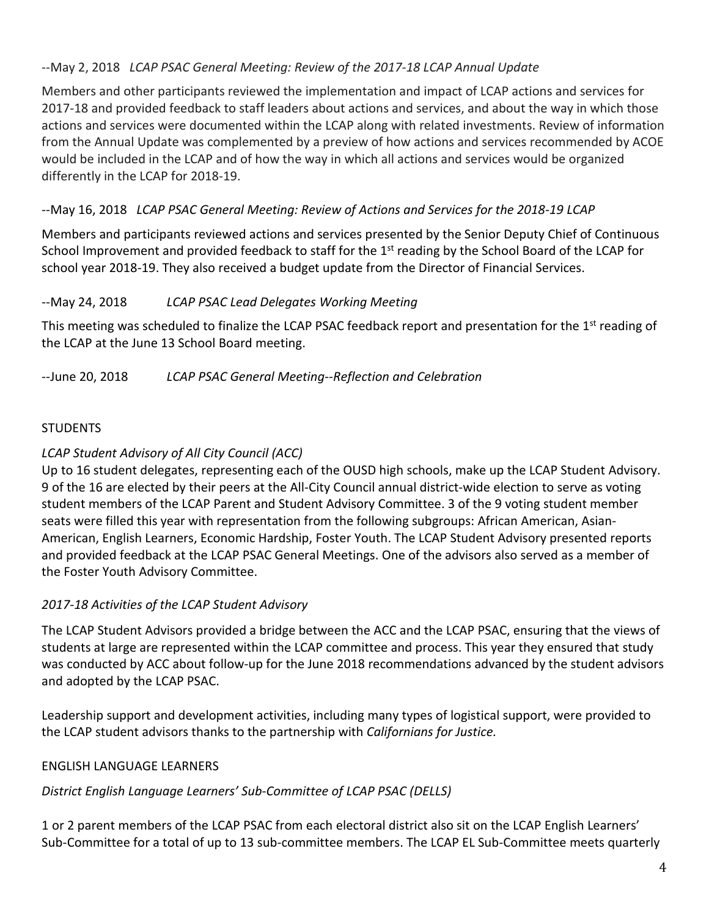# --May 2, 2018 *LCAP PSAC General Meeting: Review of the 2017-18 LCAP Annual Update*

Members and other participants reviewed the implementation and impact of LCAP actions and services for 2017-18 and provided feedback to staff leaders about actions and services, and about the way in which those actions and services were documented within the LCAP along with related investments. Review of information from the Annual Update was complemented by a preview of how actions and services recommended by ACOE would be included in the LCAP and of how the way in which all actions and services would be organized differently in the LCAP for 2018-19.

## --May 16, 2018 *LCAP PSAC General Meeting: Review of Actions and Services for the 2018-19 LCAP*

Members and participants reviewed actions and services presented by the Senior Deputy Chief of Continuous School Improvement and provided feedback to staff for the 1<sup>st</sup> reading by the School Board of the LCAP for school year 2018-19. They also received a budget update from the Director of Financial Services.

### --May 24, 2018 *LCAP PSAC Lead Delegates Working Meeting*

This meeting was scheduled to finalize the LCAP PSAC feedback report and presentation for the 1<sup>st</sup> reading of the LCAP at the June 13 School Board meeting.

--June 20, 2018 *LCAP PSAC General Meeting--Reflection and Celebration*

### **STUDENTS**

## *LCAP Student Advisory of All City Council (ACC)*

Up to 16 student delegates, representing each of the OUSD high schools, make up the LCAP Student Advisory. 9 of the 16 are elected by their peers at the All-City Council annual district-wide election to serve as voting student members of the LCAP Parent and Student Advisory Committee. 3 of the 9 voting student member seats were filled this year with representation from the following subgroups: African American, Asian-American, English Learners, Economic Hardship, Foster Youth. The LCAP Student Advisory presented reports and provided feedback at the LCAP PSAC General Meetings. One of the advisors also served as a member of the Foster Youth Advisory Committee.

### *2017-18 Activities of the LCAP Student Advisory*

The LCAP Student Advisors provided a bridge between the ACC and the LCAP PSAC, ensuring that the views of students at large are represented within the LCAP committee and process. This year they ensured that study was conducted by ACC about follow-up for the June 2018 recommendations advanced by the student advisors and adopted by the LCAP PSAC.

Leadership support and development activities, including many types of logistical support, were provided to the LCAP student advisors thanks to the partnership with *Californians for Justice.*

### ENGLISH LANGUAGE LEARNERS

# *District English Language Learners' Sub-Committee of LCAP PSAC (DELLS)*

1 or 2 parent members of the LCAP PSAC from each electoral district also sit on the LCAP English Learners' Sub-Committee for a total of up to 13 sub-committee members. The LCAP EL Sub-Committee meets quarterly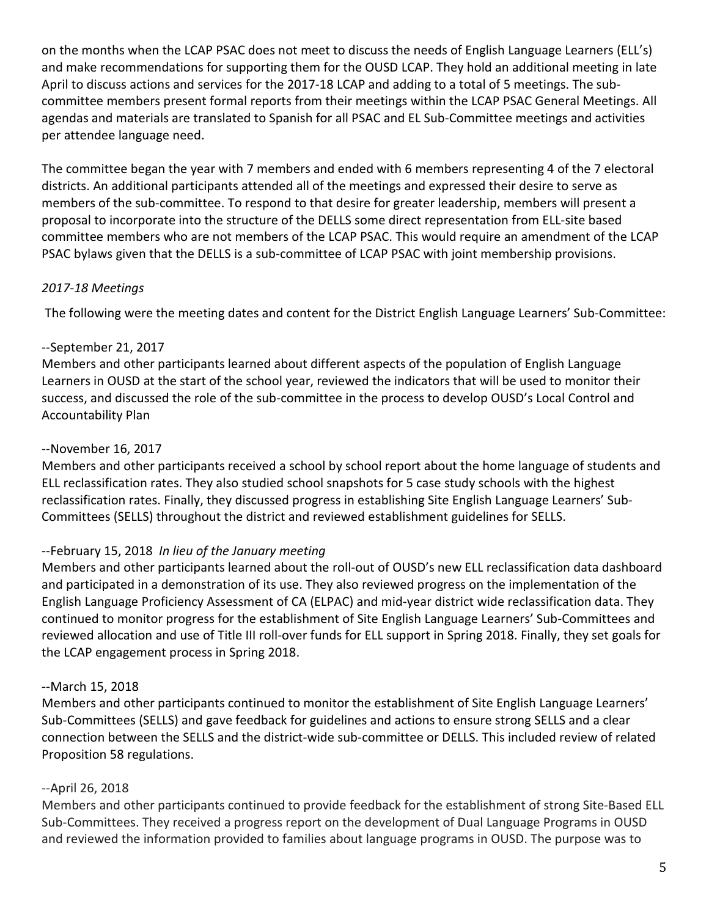on the months when the LCAP PSAC does not meet to discuss the needs of English Language Learners (ELL's) and make recommendations for supporting them for the OUSD LCAP. They hold an additional meeting in late April to discuss actions and services for the 2017-18 LCAP and adding to a total of 5 meetings. The subcommittee members present formal reports from their meetings within the LCAP PSAC General Meetings. All agendas and materials are translated to Spanish for all PSAC and EL Sub-Committee meetings and activities per attendee language need.

The committee began the year with 7 members and ended with 6 members representing 4 of the 7 electoral districts. An additional participants attended all of the meetings and expressed their desire to serve as members of the sub-committee. To respond to that desire for greater leadership, members will present a proposal to incorporate into the structure of the DELLS some direct representation from ELL-site based committee members who are not members of the LCAP PSAC. This would require an amendment of the LCAP PSAC bylaws given that the DELLS is a sub-committee of LCAP PSAC with joint membership provisions.

## *2017-18 Meetings*

The following were the meeting dates and content for the District English Language Learners' Sub-Committee:

## --September 21, 2017

Members and other participants learned about different aspects of the population of English Language Learners in OUSD at the start of the school year, reviewed the indicators that will be used to monitor their success, and discussed the role of the sub-committee in the process to develop OUSD's Local Control and Accountability Plan

## --November 16, 2017

Members and other participants received a school by school report about the home language of students and ELL reclassification rates. They also studied school snapshots for 5 case study schools with the highest reclassification rates. Finally, they discussed progress in establishing Site English Language Learners' Sub-Committees (SELLS) throughout the district and reviewed establishment guidelines for SELLS.

# --February 15, 2018 *In lieu of the January meeting*

Members and other participants learned about the roll-out of OUSD's new ELL reclassification data dashboard and participated in a demonstration of its use. They also reviewed progress on the implementation of the English Language Proficiency Assessment of CA (ELPAC) and mid-year district wide reclassification data. They continued to monitor progress for the establishment of Site English Language Learners' Sub-Committees and reviewed allocation and use of Title III roll-over funds for ELL support in Spring 2018. Finally, they set goals for the LCAP engagement process in Spring 2018.

# --March 15, 2018

Members and other participants continued to monitor the establishment of Site English Language Learners' Sub-Committees (SELLS) and gave feedback for guidelines and actions to ensure strong SELLS and a clear connection between the SELLS and the district-wide sub-committee or DELLS. This included review of related Proposition 58 regulations.

# --April 26, 2018

Members and other participants continued to provide feedback for the establishment of strong Site-Based ELL Sub-Committees. They received a progress report on the development of Dual Language Programs in OUSD and reviewed the information provided to families about language programs in OUSD. The purpose was to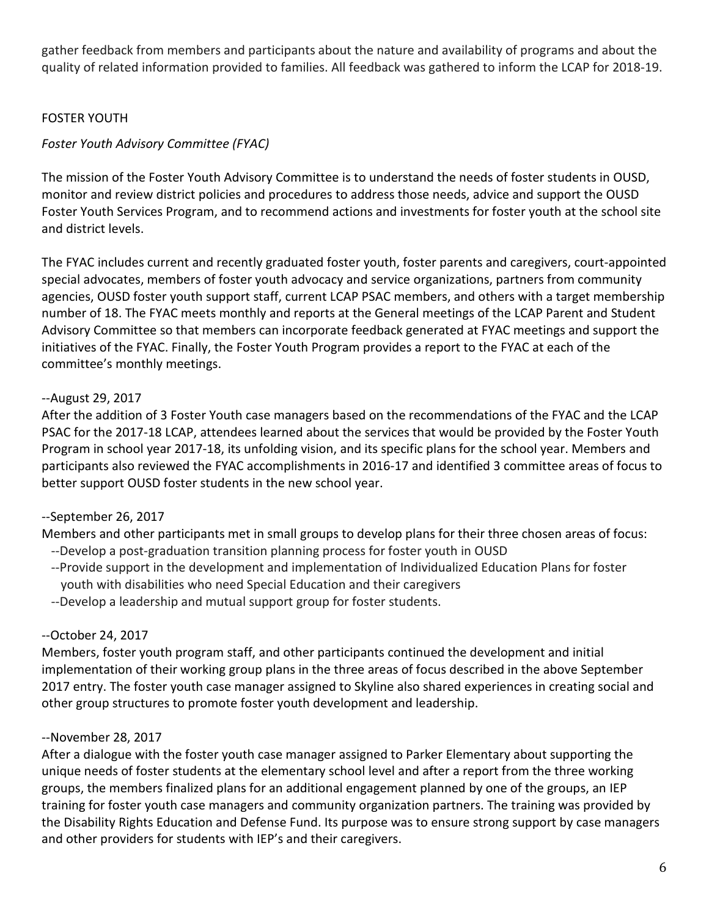gather feedback from members and participants about the nature and availability of programs and about the quality of related information provided to families. All feedback was gathered to inform the LCAP for 2018-19.

### FOSTER YOUTH

# *Foster Youth Advisory Committee (FYAC)*

The mission of the Foster Youth Advisory Committee is to understand the needs of foster students in OUSD, monitor and review district policies and procedures to address those needs, advice and support the OUSD Foster Youth Services Program, and to recommend actions and investments for foster youth at the school site and district levels.

The FYAC includes current and recently graduated foster youth, foster parents and caregivers, court-appointed special advocates, members of foster youth advocacy and service organizations, partners from community agencies, OUSD foster youth support staff, current LCAP PSAC members, and others with a target membership number of 18. The FYAC meets monthly and reports at the General meetings of the LCAP Parent and Student Advisory Committee so that members can incorporate feedback generated at FYAC meetings and support the initiatives of the FYAC. Finally, the Foster Youth Program provides a report to the FYAC at each of the committee's monthly meetings.

## --August 29, 2017

After the addition of 3 Foster Youth case managers based on the recommendations of the FYAC and the LCAP PSAC for the 2017-18 LCAP, attendees learned about the services that would be provided by the Foster Youth Program in school year 2017-18, its unfolding vision, and its specific plans for the school year. Members and participants also reviewed the FYAC accomplishments in 2016-17 and identified 3 committee areas of focus to better support OUSD foster students in the new school year.

# --September 26, 2017

Members and other participants met in small groups to develop plans for their three chosen areas of focus: --Develop a post-graduation transition planning process for foster youth in OUSD

- --Provide support in the development and implementation of Individualized Education Plans for foster youth with disabilities who need Special Education and their caregivers
- --Develop a leadership and mutual support group for foster students.

# --October 24, 2017

Members, foster youth program staff, and other participants continued the development and initial implementation of their working group plans in the three areas of focus described in the above September 2017 entry. The foster youth case manager assigned to Skyline also shared experiences in creating social and other group structures to promote foster youth development and leadership.

### --November 28, 2017

After a dialogue with the foster youth case manager assigned to Parker Elementary about supporting the unique needs of foster students at the elementary school level and after a report from the three working groups, the members finalized plans for an additional engagement planned by one of the groups, an IEP training for foster youth case managers and community organization partners. The training was provided by the Disability Rights Education and Defense Fund. Its purpose was to ensure strong support by case managers and other providers for students with IEP's and their caregivers.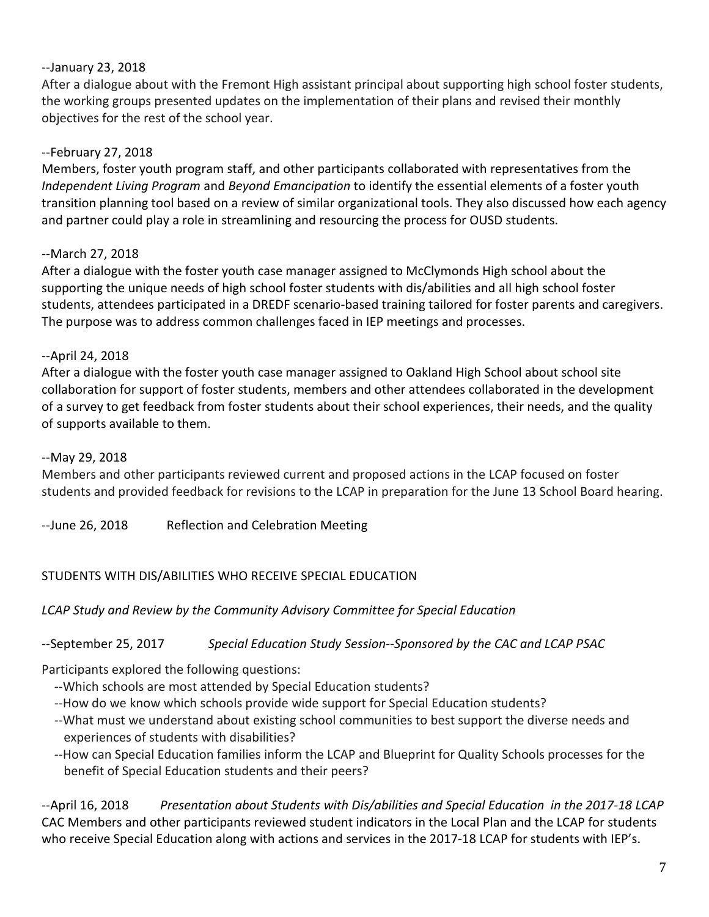### --January 23, 2018

After a dialogue about with the Fremont High assistant principal about supporting high school foster students, the working groups presented updates on the implementation of their plans and revised their monthly objectives for the rest of the school year.

## --February 27, 2018

Members, foster youth program staff, and other participants collaborated with representatives from the *Independent Living Program* and *Beyond Emancipation* to identify the essential elements of a foster youth transition planning tool based on a review of similar organizational tools. They also discussed how each agency and partner could play a role in streamlining and resourcing the process for OUSD students.

## --March 27, 2018

After a dialogue with the foster youth case manager assigned to McClymonds High school about the supporting the unique needs of high school foster students with dis/abilities and all high school foster students, attendees participated in a DREDF scenario-based training tailored for foster parents and caregivers. The purpose was to address common challenges faced in IEP meetings and processes.

## --April 24, 2018

After a dialogue with the foster youth case manager assigned to Oakland High School about school site collaboration for support of foster students, members and other attendees collaborated in the development of a survey to get feedback from foster students about their school experiences, their needs, and the quality of supports available to them.

### --May 29, 2018

Members and other participants reviewed current and proposed actions in the LCAP focused on foster students and provided feedback for revisions to the LCAP in preparation for the June 13 School Board hearing.

--June 26, 2018 Reflection and Celebration Meeting

# STUDENTS WITH DIS/ABILITIES WHO RECEIVE SPECIAL EDUCATION

### *LCAP Study and Review by the Community Advisory Committee for Special Education*

--September 25, 2017 *Special Education Study Session--Sponsored by the CAC and LCAP PSAC*

Participants explored the following questions:

- --Which schools are most attended by Special Education students?
- --How do we know which schools provide wide support for Special Education students?
- --What must we understand about existing school communities to best support the diverse needs and experiences of students with disabilities?
- --How can Special Education families inform the LCAP and Blueprint for Quality Schools processes for the benefit of Special Education students and their peers?

--April 16, 2018 *Presentation about Students with Dis/abilities and Special Education in the 2017-18 LCAP* CAC Members and other participants reviewed student indicators in the Local Plan and the LCAP for students who receive Special Education along with actions and services in the 2017-18 LCAP for students with IEP's.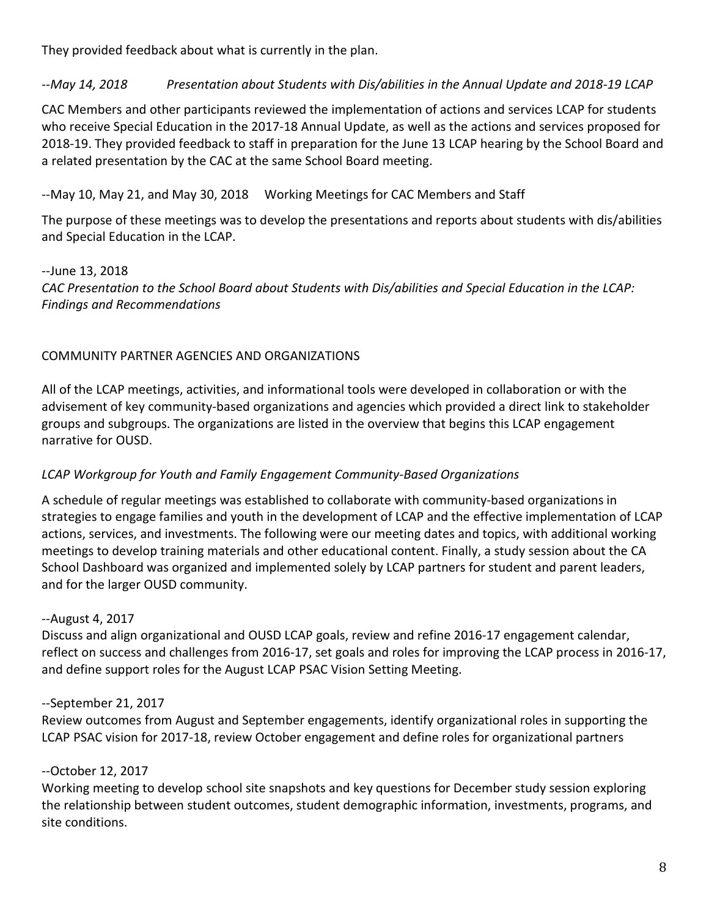They provided feedback about what is currently in the plan.

# *--May 14, 2018 Presentation about Students with Dis/abilities in the Annual Update and 2018-19 LCAP*

CAC Members and other participants reviewed the implementation of actions and services LCAP for students who receive Special Education in the 2017-18 Annual Update, as well as the actions and services proposed for 2018-19. They provided feedback to staff in preparation for the June 13 LCAP hearing by the School Board and a related presentation by the CAC at the same School Board meeting.

# --May 10, May 21, and May 30, 2018 Working Meetings for CAC Members and Staff

The purpose of these meetings was to develop the presentations and reports about students with dis/abilities and Special Education in the LCAP.

### --June 13, 2018 *CAC Presentation to the School Board about Students with Dis/abilities and Special Education in the LCAP: Findings and Recommendations*

# COMMUNITY PARTNER AGENCIES AND ORGANIZATIONS

All of the LCAP meetings, activities, and informational tools were developed in collaboration or with the advisement of key community-based organizations and agencies which provided a direct link to stakeholder groups and subgroups. The organizations are listed in the overview that begins this LCAP engagement narrative for OUSD.

# *LCAP Workgroup for Youth and Family Engagement Community-Based Organizations*

A schedule of regular meetings was established to collaborate with community-based organizations in strategies to engage families and youth in the development of LCAP and the effective implementation of LCAP actions, services, and investments. The following were our meeting dates and topics, with additional working meetings to develop training materials and other educational content. Finally, a study session about the CA School Dashboard was organized and implemented solely by LCAP partners for student and parent leaders, and for the larger OUSD community.

# --August 4, 2017

Discuss and align organizational and OUSD LCAP goals, review and refine 2016-17 engagement calendar, reflect on success and challenges from 2016-17, set goals and roles for improving the LCAP process in 2016-17, and define support roles for the August LCAP PSAC Vision Setting Meeting.

# --September 21, 2017

Review outcomes from August and September engagements, identify organizational roles in supporting the LCAP PSAC vision for 2017-18, review October engagement and define roles for organizational partners

# --October 12, 2017

Working meeting to develop school site snapshots and key questions for December study session exploring the relationship between student outcomes, student demographic information, investments, programs, and site conditions.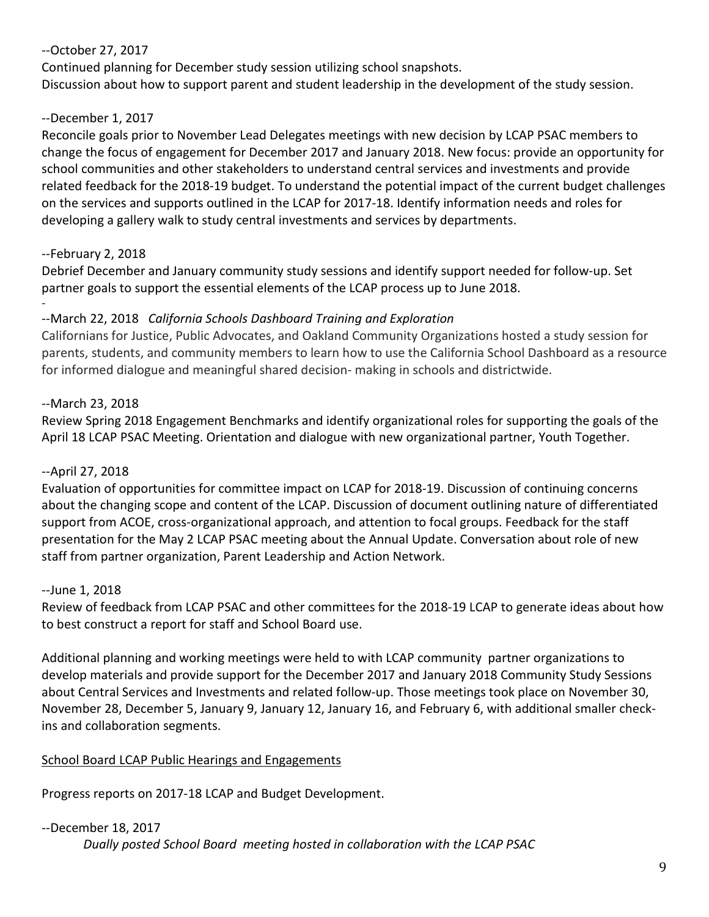# --October 27, 2017

Continued planning for December study session utilizing school snapshots. Discussion about how to support parent and student leadership in the development of the study session.

# --December 1, 2017

Reconcile goals prior to November Lead Delegates meetings with new decision by LCAP PSAC members to change the focus of engagement for December 2017 and January 2018. New focus: provide an opportunity for school communities and other stakeholders to understand central services and investments and provide related feedback for the 2018-19 budget. To understand the potential impact of the current budget challenges on the services and supports outlined in the LCAP for 2017-18. Identify information needs and roles for developing a gallery walk to study central investments and services by departments.

# --February 2, 2018

Debrief December and January community study sessions and identify support needed for follow-up. Set partner goals to support the essential elements of the LCAP process up to June 2018.

#### - --March 22, 2018 *California Schools Dashboard Training and Exploration*

Californians for Justice, Public Advocates, and Oakland Community Organizations hosted a study session for parents, students, and community members to learn how to use the California School Dashboard as a resource for informed dialogue and meaningful shared decision- making in schools and districtwide.

# --March 23, 2018

Review Spring 2018 Engagement Benchmarks and identify organizational roles for supporting the goals of the April 18 LCAP PSAC Meeting. Orientation and dialogue with new organizational partner, Youth Together.

# --April 27, 2018

Evaluation of opportunities for committee impact on LCAP for 2018-19. Discussion of continuing concerns about the changing scope and content of the LCAP. Discussion of document outlining nature of differentiated support from ACOE, cross-organizational approach, and attention to focal groups. Feedback for the staff presentation for the May 2 LCAP PSAC meeting about the Annual Update. Conversation about role of new staff from partner organization, Parent Leadership and Action Network.

# --June 1, 2018

Review of feedback from LCAP PSAC and other committees for the 2018-19 LCAP to generate ideas about how to best construct a report for staff and School Board use.

Additional planning and working meetings were held to with LCAP community partner organizations to develop materials and provide support for the December 2017 and January 2018 Community Study Sessions about Central Services and Investments and related follow-up. Those meetings took place on November 30, November 28, December 5, January 9, January 12, January 16, and February 6, with additional smaller checkins and collaboration segments.

# School Board LCAP Public Hearings and Engagements

Progress reports on 2017-18 LCAP and Budget Development.

# --December 18, 2017

*Dually posted School Board meeting hosted in collaboration with the LCAP PSAC*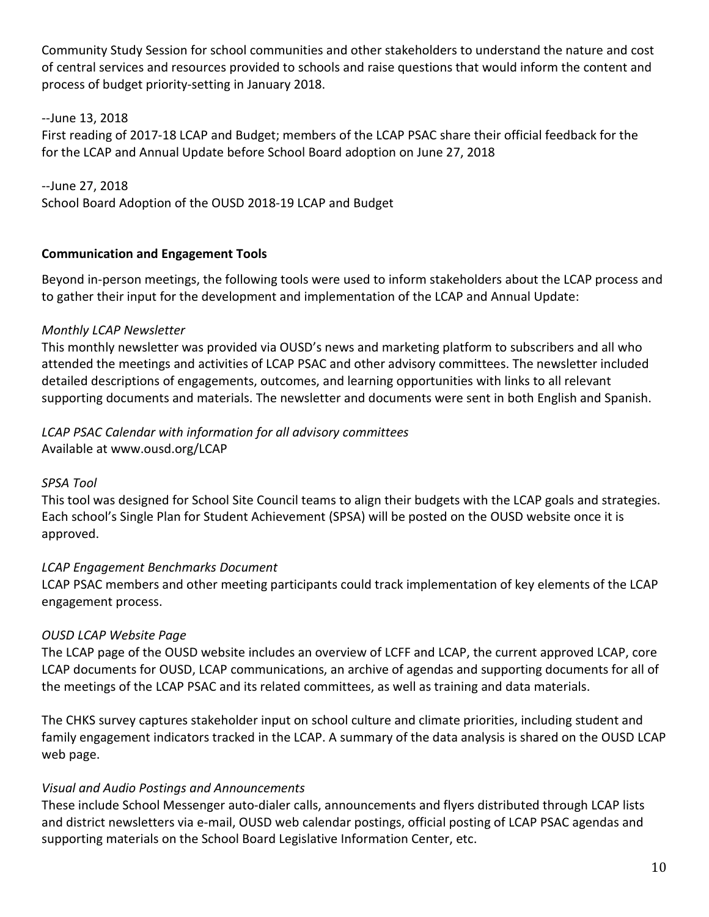Community Study Session for school communities and other stakeholders to understand the nature and cost of central services and resources provided to schools and raise questions that would inform the content and process of budget priority-setting in January 2018.

--June 13, 2018 First reading of 2017-18 LCAP and Budget; members of the LCAP PSAC share their official feedback for the for the LCAP and Annual Update before School Board adoption on June 27, 2018

--June 27, 2018 School Board Adoption of the OUSD 2018-19 LCAP and Budget

### **Communication and Engagement Tools**

Beyond in-person meetings, the following tools were used to inform stakeholders about the LCAP process and to gather their input for the development and implementation of the LCAP and Annual Update:

## *Monthly LCAP Newsletter*

This monthly newsletter was provided via OUSD's news and marketing platform to subscribers and all who attended the meetings and activities of LCAP PSAC and other advisory committees. The newsletter included detailed descriptions of engagements, outcomes, and learning opportunities with links to all relevant supporting documents and materials. The newsletter and documents were sent in both English and Spanish.

## *LCAP PSAC Calendar with information for all advisory committees*  Available at www.ousd.org/LCAP

### *SPSA Tool*

This tool was designed for School Site Council teams to align their budgets with the LCAP goals and strategies. Each school's Single Plan for Student Achievement (SPSA) will be posted on the OUSD website once it is approved.

# *LCAP Engagement Benchmarks Document*

LCAP PSAC members and other meeting participants could track implementation of key elements of the LCAP engagement process.

# *OUSD LCAP Website Page*

The LCAP page of the OUSD website includes an overview of LCFF and LCAP, the current approved LCAP, core LCAP documents for OUSD, LCAP communications, an archive of agendas and supporting documents for all of the meetings of the LCAP PSAC and its related committees, as well as training and data materials.

The CHKS survey captures stakeholder input on school culture and climate priorities, including student and family engagement indicators tracked in the LCAP. A summary of the data analysis is shared on the OUSD LCAP web page.

### *Visual and Audio Postings and Announcements*

These include School Messenger auto-dialer calls, announcements and flyers distributed through LCAP lists and district newsletters via e-mail, OUSD web calendar postings, official posting of LCAP PSAC agendas and supporting materials on the School Board Legislative Information Center, etc.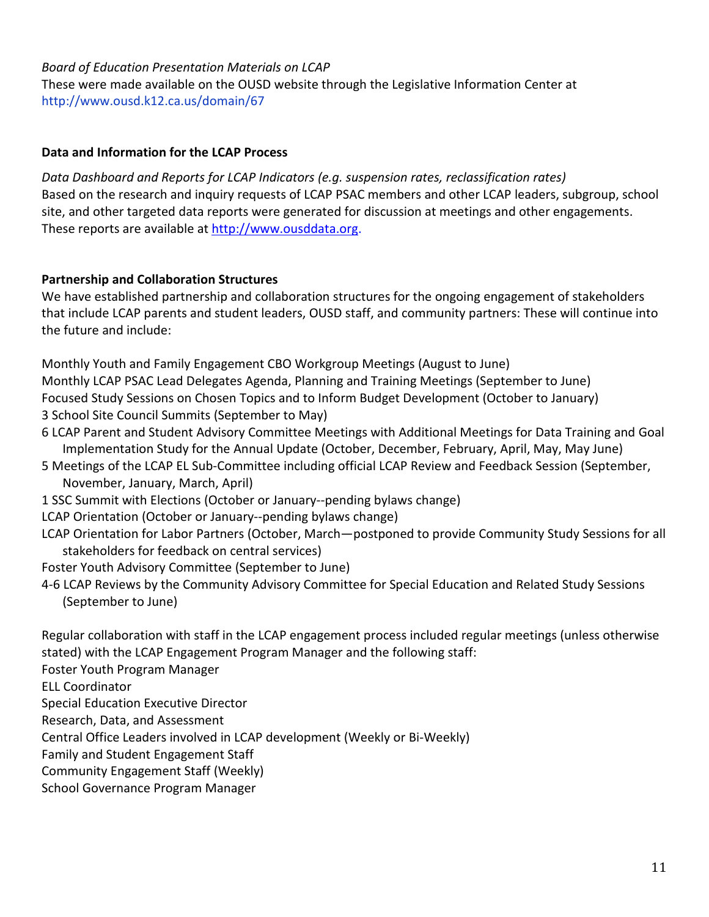## *Board of Education Presentation Materials on LCAP* These were made available on the OUSD website through the Legislative Information Center at http://www.ousd.k12.ca.us/domain/67

### **Data and Information for the LCAP Process**

*Data Dashboard and Reports for LCAP Indicators (e.g. suspension rates, reclassification rates)* Based on the research and inquiry requests of LCAP PSAC members and other LCAP leaders, subgroup, school site, and other targeted data reports were generated for discussion at meetings and other engagements. These reports are available at [http://www.ousddata.org.](http://www.ousddata.org/)

## **Partnership and Collaboration Structures**

We have established partnership and collaboration structures for the ongoing engagement of stakeholders that include LCAP parents and student leaders, OUSD staff, and community partners: These will continue into the future and include:

Monthly Youth and Family Engagement CBO Workgroup Meetings (August to June) Monthly LCAP PSAC Lead Delegates Agenda, Planning and Training Meetings (September to June) Focused Study Sessions on Chosen Topics and to Inform Budget Development (October to January) 3 School Site Council Summits (September to May)

- 6 LCAP Parent and Student Advisory Committee Meetings with Additional Meetings for Data Training and Goal Implementation Study for the Annual Update (October, December, February, April, May, May June)
- 5 Meetings of the LCAP EL Sub-Committee including official LCAP Review and Feedback Session (September, November, January, March, April)
- 1 SSC Summit with Elections (October or January--pending bylaws change)
- LCAP Orientation (October or January--pending bylaws change)
- LCAP Orientation for Labor Partners (October, March—postponed to provide Community Study Sessions for all stakeholders for feedback on central services)
- Foster Youth Advisory Committee (September to June)
- 4-6 LCAP Reviews by the Community Advisory Committee for Special Education and Related Study Sessions (September to June)

Regular collaboration with staff in the LCAP engagement process included regular meetings (unless otherwise stated) with the LCAP Engagement Program Manager and the following staff:

Foster Youth Program Manager

ELL Coordinator

Special Education Executive Director

Research, Data, and Assessment

Central Office Leaders involved in LCAP development (Weekly or Bi-Weekly)

Family and Student Engagement Staff

Community Engagement Staff (Weekly)

School Governance Program Manager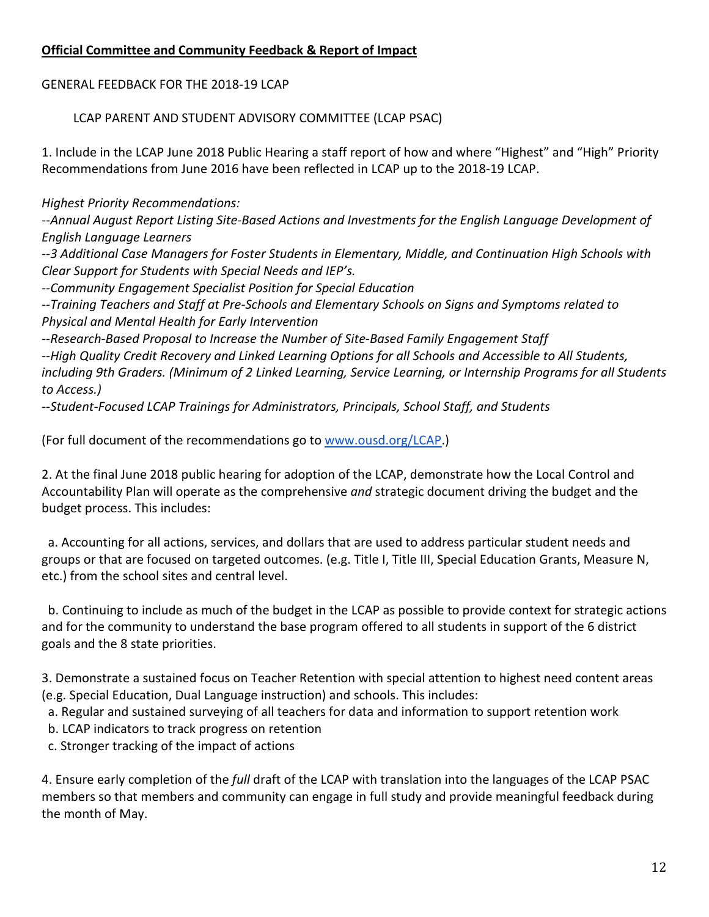## **Official Committee and Community Feedback & Report of Impact**

GENERAL FEEDBACK FOR THE 2018-19 LCAP

LCAP PARENT AND STUDENT ADVISORY COMMITTEE (LCAP PSAC)

1. Include in the LCAP June 2018 Public Hearing a staff report of how and where "Highest" and "High" Priority Recommendations from June 2016 have been reflected in LCAP up to the 2018-19 LCAP.

*Highest Priority Recommendations:*

*--Annual August Report Listing Site-Based Actions and Investments for the English Language Development of English Language Learners*

*--3 Additional Case Managers for Foster Students in Elementary, Middle, and Continuation High Schools with Clear Support for Students with Special Needs and IEP's.*

*--Community Engagement Specialist Position for Special Education*

*--Training Teachers and Staff at Pre-Schools and Elementary Schools on Signs and Symptoms related to Physical and Mental Health for Early Intervention*

*--Research-Based Proposal to Increase the Number of Site-Based Family Engagement Staff*

*--High Quality Credit Recovery and Linked Learning Options for all Schools and Accessible to All Students, including 9th Graders. (Minimum of 2 Linked Learning, Service Learning, or Internship Programs for all Students to Access.)*

*--Student-Focused LCAP Trainings for Administrators, Principals, School Staff, and Students*

(For full document of the recommendations go to [www.ousd.org/LCAP.](http://www.ousd.org/LCAP))

2. At the final June 2018 public hearing for adoption of the LCAP, demonstrate how the Local Control and Accountability Plan will operate as the comprehensive *and* strategic document driving the budget and the budget process. This includes:

 a. Accounting for all actions, services, and dollars that are used to address particular student needs and groups or that are focused on targeted outcomes. (e.g. Title I, Title III, Special Education Grants, Measure N, etc.) from the school sites and central level.

 b. Continuing to include as much of the budget in the LCAP as possible to provide context for strategic actions and for the community to understand the base program offered to all students in support of the 6 district goals and the 8 state priorities.

3. Demonstrate a sustained focus on Teacher Retention with special attention to highest need content areas (e.g. Special Education, Dual Language instruction) and schools. This includes:

a. Regular and sustained surveying of all teachers for data and information to support retention work

b. LCAP indicators to track progress on retention

c. Stronger tracking of the impact of actions

4. Ensure early completion of the *full* draft of the LCAP with translation into the languages of the LCAP PSAC members so that members and community can engage in full study and provide meaningful feedback during the month of May.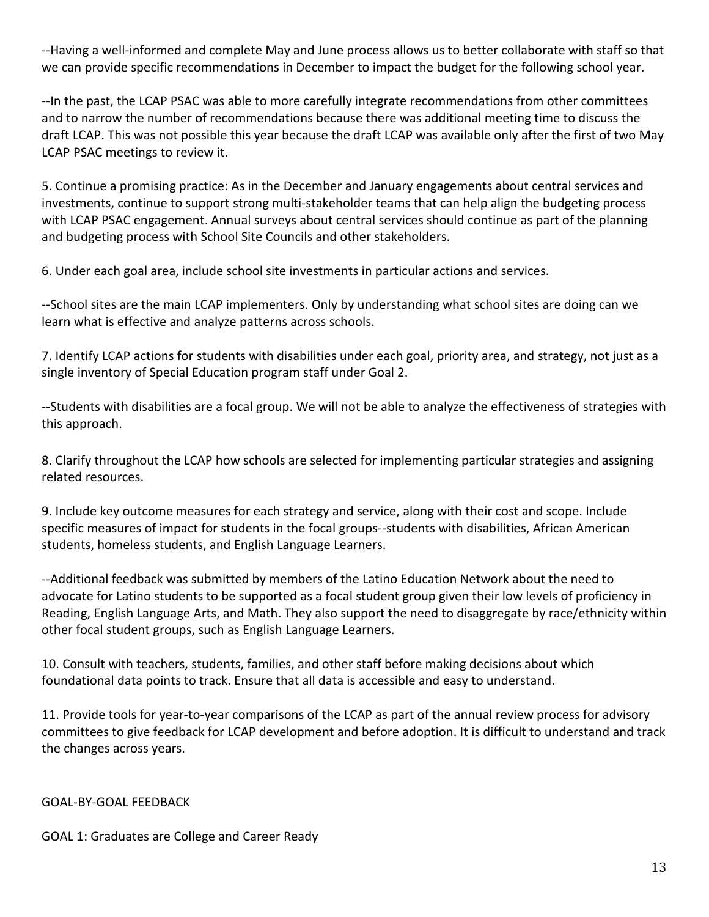--Having a well-informed and complete May and June process allows us to better collaborate with staff so that we can provide specific recommendations in December to impact the budget for the following school year.

--In the past, the LCAP PSAC was able to more carefully integrate recommendations from other committees and to narrow the number of recommendations because there was additional meeting time to discuss the draft LCAP. This was not possible this year because the draft LCAP was available only after the first of two May LCAP PSAC meetings to review it.

5. Continue a promising practice: As in the December and January engagements about central services and investments, continue to support strong multi-stakeholder teams that can help align the budgeting process with LCAP PSAC engagement. Annual surveys about central services should continue as part of the planning and budgeting process with School Site Councils and other stakeholders.

6. Under each goal area, include school site investments in particular actions and services.

--School sites are the main LCAP implementers. Only by understanding what school sites are doing can we learn what is effective and analyze patterns across schools.

7. Identify LCAP actions for students with disabilities under each goal, priority area, and strategy, not just as a single inventory of Special Education program staff under Goal 2.

--Students with disabilities are a focal group. We will not be able to analyze the effectiveness of strategies with this approach.

8. Clarify throughout the LCAP how schools are selected for implementing particular strategies and assigning related resources.

9. Include key outcome measures for each strategy and service, along with their cost and scope. Include specific measures of impact for students in the focal groups--students with disabilities, African American students, homeless students, and English Language Learners.

--Additional feedback was submitted by members of the Latino Education Network about the need to advocate for Latino students to be supported as a focal student group given their low levels of proficiency in Reading, English Language Arts, and Math. They also support the need to disaggregate by race/ethnicity within other focal student groups, such as English Language Learners.

10. Consult with teachers, students, families, and other staff before making decisions about which foundational data points to track. Ensure that all data is accessible and easy to understand.

11. Provide tools for year-to-year comparisons of the LCAP as part of the annual review process for advisory committees to give feedback for LCAP development and before adoption. It is difficult to understand and track the changes across years.

#### GOAL-BY-GOAL FEEDBACK

GOAL 1: Graduates are College and Career Ready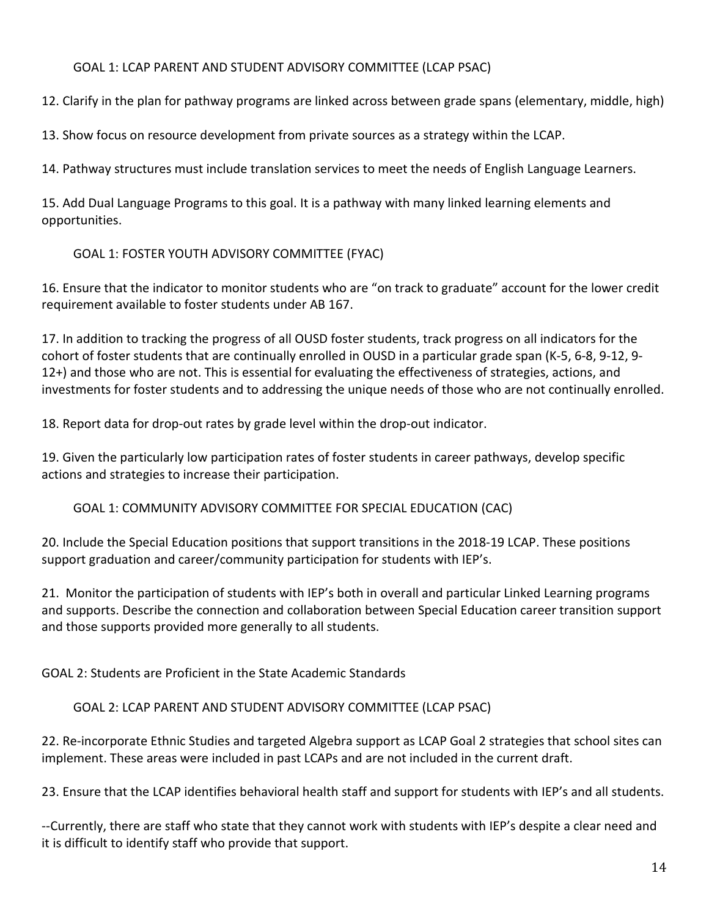## GOAL 1: LCAP PARENT AND STUDENT ADVISORY COMMITTEE (LCAP PSAC)

12. Clarify in the plan for pathway programs are linked across between grade spans (elementary, middle, high)

13. Show focus on resource development from private sources as a strategy within the LCAP.

14. Pathway structures must include translation services to meet the needs of English Language Learners.

15. Add Dual Language Programs to this goal. It is a pathway with many linked learning elements and opportunities.

## GOAL 1: FOSTER YOUTH ADVISORY COMMITTEE (FYAC)

16. Ensure that the indicator to monitor students who are "on track to graduate" account for the lower credit requirement available to foster students under AB 167.

17. In addition to tracking the progress of all OUSD foster students, track progress on all indicators for the cohort of foster students that are continually enrolled in OUSD in a particular grade span (K-5, 6-8, 9-12, 9- 12+) and those who are not. This is essential for evaluating the effectiveness of strategies, actions, and investments for foster students and to addressing the unique needs of those who are not continually enrolled.

18. Report data for drop-out rates by grade level within the drop-out indicator.

19. Given the particularly low participation rates of foster students in career pathways, develop specific actions and strategies to increase their participation.

GOAL 1: COMMUNITY ADVISORY COMMITTEE FOR SPECIAL EDUCATION (CAC)

20. Include the Special Education positions that support transitions in the 2018-19 LCAP. These positions support graduation and career/community participation for students with IEP's.

21. Monitor the participation of students with IEP's both in overall and particular Linked Learning programs and supports. Describe the connection and collaboration between Special Education career transition support and those supports provided more generally to all students.

GOAL 2: Students are Proficient in the State Academic Standards

GOAL 2: LCAP PARENT AND STUDENT ADVISORY COMMITTEE (LCAP PSAC)

22. Re-incorporate Ethnic Studies and targeted Algebra support as LCAP Goal 2 strategies that school sites can implement. These areas were included in past LCAPs and are not included in the current draft.

23. Ensure that the LCAP identifies behavioral health staff and support for students with IEP's and all students.

--Currently, there are staff who state that they cannot work with students with IEP's despite a clear need and it is difficult to identify staff who provide that support.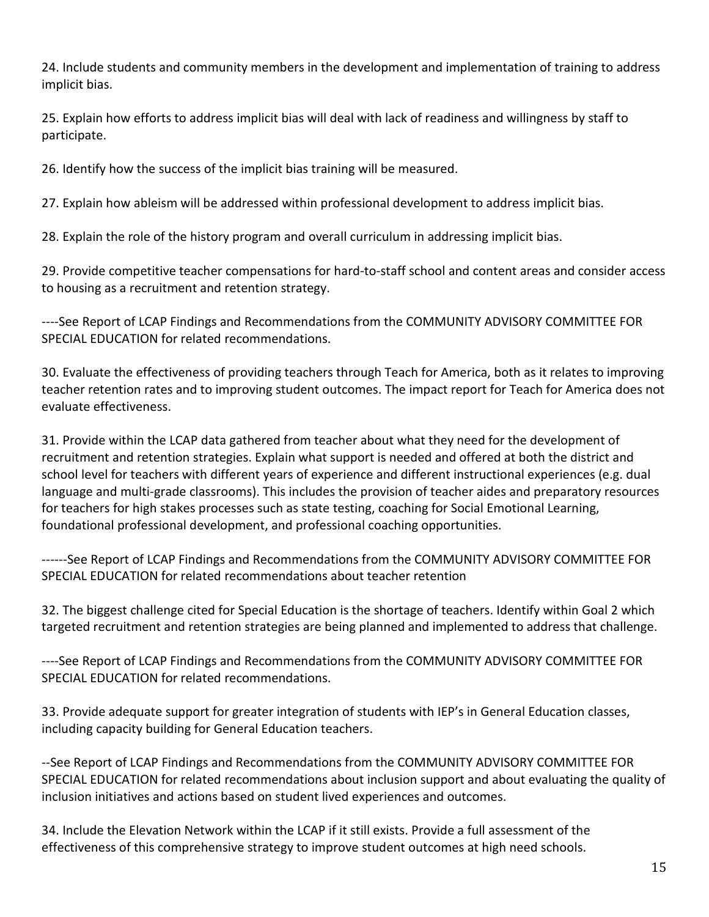24. Include students and community members in the development and implementation of training to address implicit bias.

25. Explain how efforts to address implicit bias will deal with lack of readiness and willingness by staff to participate.

26. Identify how the success of the implicit bias training will be measured.

27. Explain how ableism will be addressed within professional development to address implicit bias.

28. Explain the role of the history program and overall curriculum in addressing implicit bias.

29. Provide competitive teacher compensations for hard-to-staff school and content areas and consider access to housing as a recruitment and retention strategy.

----See Report of LCAP Findings and Recommendations from the COMMUNITY ADVISORY COMMITTEE FOR SPECIAL EDUCATION for related recommendations.

30. Evaluate the effectiveness of providing teachers through Teach for America, both as it relates to improving teacher retention rates and to improving student outcomes. The impact report for Teach for America does not evaluate effectiveness.

31. Provide within the LCAP data gathered from teacher about what they need for the development of recruitment and retention strategies. Explain what support is needed and offered at both the district and school level for teachers with different years of experience and different instructional experiences (e.g. dual language and multi-grade classrooms). This includes the provision of teacher aides and preparatory resources for teachers for high stakes processes such as state testing, coaching for Social Emotional Learning, foundational professional development, and professional coaching opportunities.

------See Report of LCAP Findings and Recommendations from the COMMUNITY ADVISORY COMMITTEE FOR SPECIAL EDUCATION for related recommendations about teacher retention

32. The biggest challenge cited for Special Education is the shortage of teachers. Identify within Goal 2 which targeted recruitment and retention strategies are being planned and implemented to address that challenge.

----See Report of LCAP Findings and Recommendations from the COMMUNITY ADVISORY COMMITTEE FOR SPECIAL EDUCATION for related recommendations.

33. Provide adequate support for greater integration of students with IEP's in General Education classes, including capacity building for General Education teachers.

--See Report of LCAP Findings and Recommendations from the COMMUNITY ADVISORY COMMITTEE FOR SPECIAL EDUCATION for related recommendations about inclusion support and about evaluating the quality of inclusion initiatives and actions based on student lived experiences and outcomes.

34. Include the Elevation Network within the LCAP if it still exists. Provide a full assessment of the effectiveness of this comprehensive strategy to improve student outcomes at high need schools.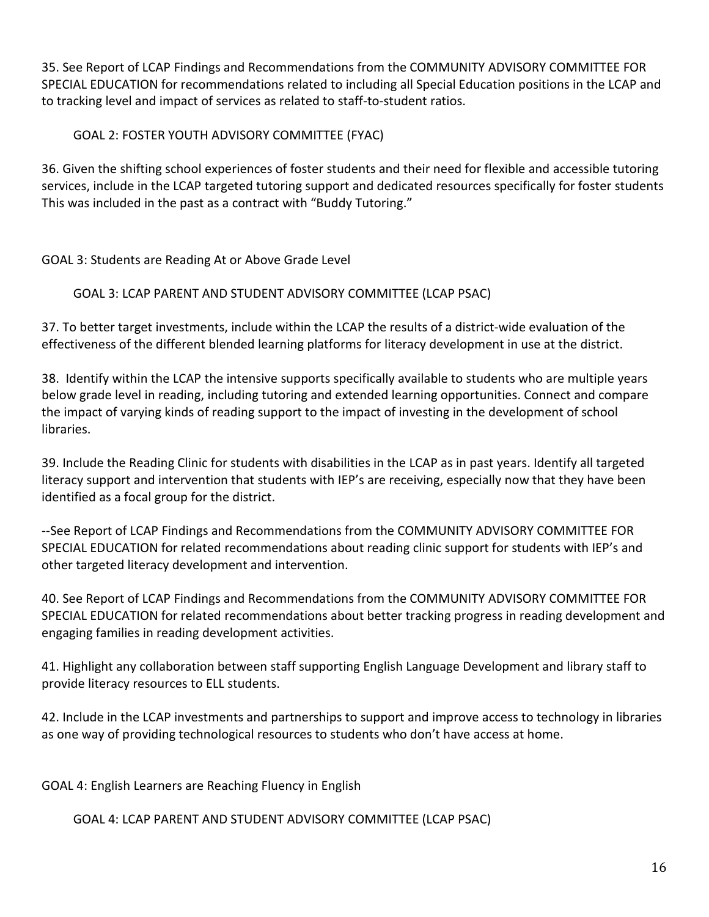35. See Report of LCAP Findings and Recommendations from the COMMUNITY ADVISORY COMMITTEE FOR SPECIAL EDUCATION for recommendations related to including all Special Education positions in the LCAP and to tracking level and impact of services as related to staff-to-student ratios.

# GOAL 2: FOSTER YOUTH ADVISORY COMMITTEE (FYAC)

36. Given the shifting school experiences of foster students and their need for flexible and accessible tutoring services, include in the LCAP targeted tutoring support and dedicated resources specifically for foster students This was included in the past as a contract with "Buddy Tutoring."

# GOAL 3: Students are Reading At or Above Grade Level

# GOAL 3: LCAP PARENT AND STUDENT ADVISORY COMMITTEE (LCAP PSAC)

37. To better target investments, include within the LCAP the results of a district-wide evaluation of the effectiveness of the different blended learning platforms for literacy development in use at the district.

38. Identify within the LCAP the intensive supports specifically available to students who are multiple years below grade level in reading, including tutoring and extended learning opportunities. Connect and compare the impact of varying kinds of reading support to the impact of investing in the development of school libraries.

39. Include the Reading Clinic for students with disabilities in the LCAP as in past years. Identify all targeted literacy support and intervention that students with IEP's are receiving, especially now that they have been identified as a focal group for the district.

--See Report of LCAP Findings and Recommendations from the COMMUNITY ADVISORY COMMITTEE FOR SPECIAL EDUCATION for related recommendations about reading clinic support for students with IEP's and other targeted literacy development and intervention.

40. See Report of LCAP Findings and Recommendations from the COMMUNITY ADVISORY COMMITTEE FOR SPECIAL EDUCATION for related recommendations about better tracking progress in reading development and engaging families in reading development activities.

41. Highlight any collaboration between staff supporting English Language Development and library staff to provide literacy resources to ELL students.

42. Include in the LCAP investments and partnerships to support and improve access to technology in libraries as one way of providing technological resources to students who don't have access at home.

GOAL 4: English Learners are Reaching Fluency in English

GOAL 4: LCAP PARENT AND STUDENT ADVISORY COMMITTEE (LCAP PSAC)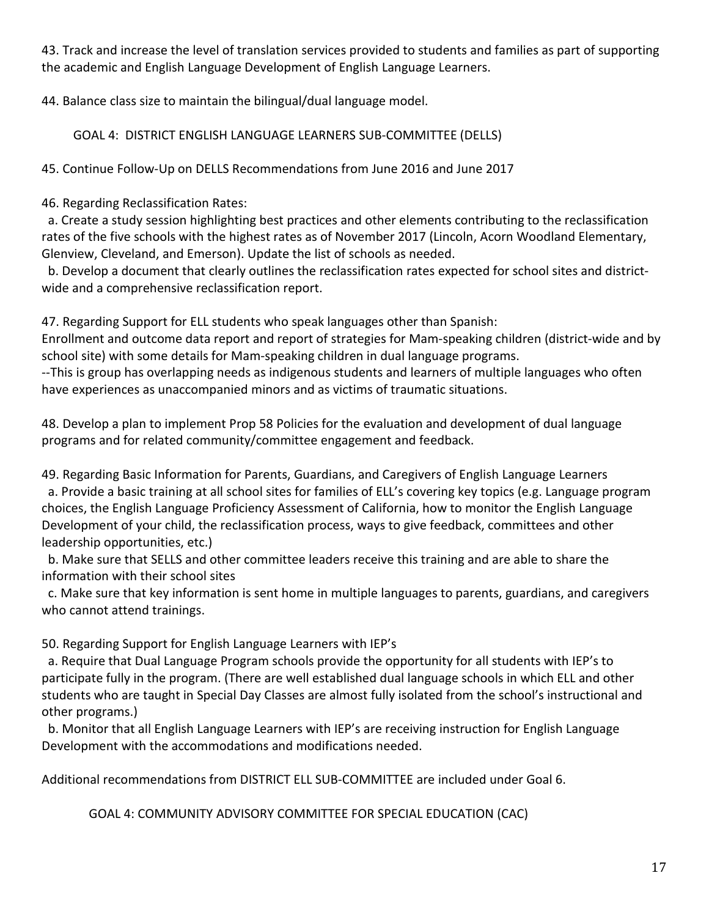43. Track and increase the level of translation services provided to students and families as part of supporting the academic and English Language Development of English Language Learners.

44. Balance class size to maintain the bilingual/dual language model.

GOAL 4: DISTRICT ENGLISH LANGUAGE LEARNERS SUB-COMMITTEE (DELLS)

45. Continue Follow-Up on DELLS Recommendations from June 2016 and June 2017

46. Regarding Reclassification Rates:

 a. Create a study session highlighting best practices and other elements contributing to the reclassification rates of the five schools with the highest rates as of November 2017 (Lincoln, Acorn Woodland Elementary, Glenview, Cleveland, and Emerson). Update the list of schools as needed.

 b. Develop a document that clearly outlines the reclassification rates expected for school sites and districtwide and a comprehensive reclassification report.

47. Regarding Support for ELL students who speak languages other than Spanish:

Enrollment and outcome data report and report of strategies for Mam-speaking children (district-wide and by school site) with some details for Mam-speaking children in dual language programs.

--This is group has overlapping needs as indigenous students and learners of multiple languages who often have experiences as unaccompanied minors and as victims of traumatic situations.

48. Develop a plan to implement Prop 58 Policies for the evaluation and development of dual language programs and for related community/committee engagement and feedback.

49. Regarding Basic Information for Parents, Guardians, and Caregivers of English Language Learners

 a. Provide a basic training at all school sites for families of ELL's covering key topics (e.g. Language program choices, the English Language Proficiency Assessment of California, how to monitor the English Language Development of your child, the reclassification process, ways to give feedback, committees and other leadership opportunities, etc.)

 b. Make sure that SELLS and other committee leaders receive this training and are able to share the information with their school sites

 c. Make sure that key information is sent home in multiple languages to parents, guardians, and caregivers who cannot attend trainings.

50. Regarding Support for English Language Learners with IEP's

 a. Require that Dual Language Program schools provide the opportunity for all students with IEP's to participate fully in the program. (There are well established dual language schools in which ELL and other students who are taught in Special Day Classes are almost fully isolated from the school's instructional and other programs.)

 b. Monitor that all English Language Learners with IEP's are receiving instruction for English Language Development with the accommodations and modifications needed.

Additional recommendations from DISTRICT ELL SUB-COMMITTEE are included under Goal 6.

GOAL 4: COMMUNITY ADVISORY COMMITTEE FOR SPECIAL EDUCATION (CAC)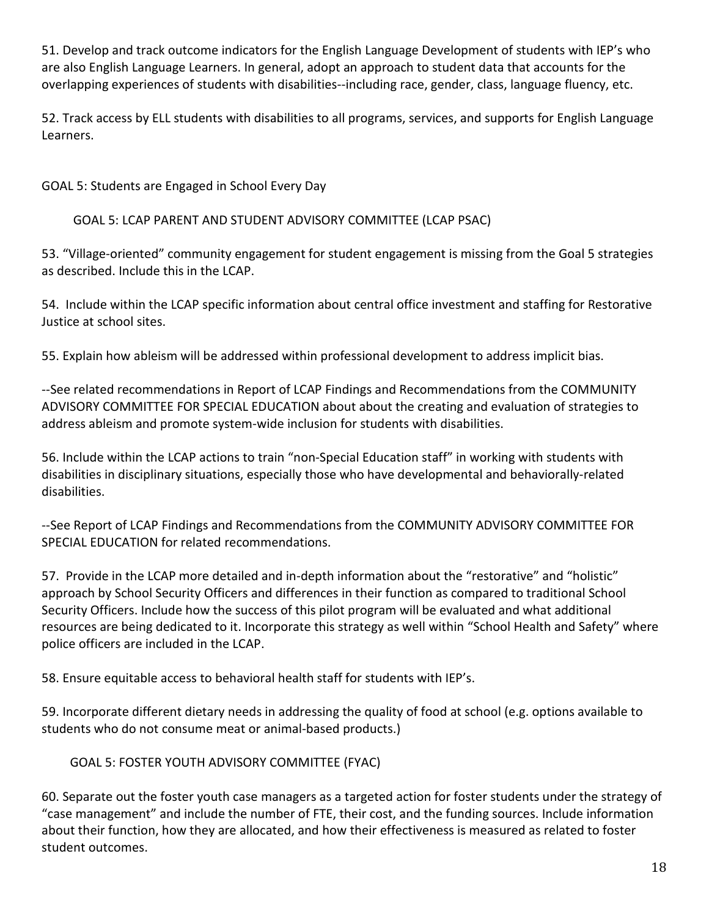51. Develop and track outcome indicators for the English Language Development of students with IEP's who are also English Language Learners. In general, adopt an approach to student data that accounts for the overlapping experiences of students with disabilities--including race, gender, class, language fluency, etc.

52. Track access by ELL students with disabilities to all programs, services, and supports for English Language Learners.

GOAL 5: Students are Engaged in School Every Day

GOAL 5: LCAP PARENT AND STUDENT ADVISORY COMMITTEE (LCAP PSAC)

53. "Village-oriented" community engagement for student engagement is missing from the Goal 5 strategies as described. Include this in the LCAP.

54. Include within the LCAP specific information about central office investment and staffing for Restorative Justice at school sites.

55. Explain how ableism will be addressed within professional development to address implicit bias.

--See related recommendations in Report of LCAP Findings and Recommendations from the COMMUNITY ADVISORY COMMITTEE FOR SPECIAL EDUCATION about about the creating and evaluation of strategies to address ableism and promote system-wide inclusion for students with disabilities.

56. Include within the LCAP actions to train "non-Special Education staff" in working with students with disabilities in disciplinary situations, especially those who have developmental and behaviorally-related disabilities.

--See Report of LCAP Findings and Recommendations from the COMMUNITY ADVISORY COMMITTEE FOR SPECIAL EDUCATION for related recommendations.

57. Provide in the LCAP more detailed and in-depth information about the "restorative" and "holistic" approach by School Security Officers and differences in their function as compared to traditional School Security Officers. Include how the success of this pilot program will be evaluated and what additional resources are being dedicated to it. Incorporate this strategy as well within "School Health and Safety" where police officers are included in the LCAP.

58. Ensure equitable access to behavioral health staff for students with IEP's.

59. Incorporate different dietary needs in addressing the quality of food at school (e.g. options available to students who do not consume meat or animal-based products.)

GOAL 5: FOSTER YOUTH ADVISORY COMMITTEE (FYAC)

60. Separate out the foster youth case managers as a targeted action for foster students under the strategy of "case management" and include the number of FTE, their cost, and the funding sources. Include information about their function, how they are allocated, and how their effectiveness is measured as related to foster student outcomes.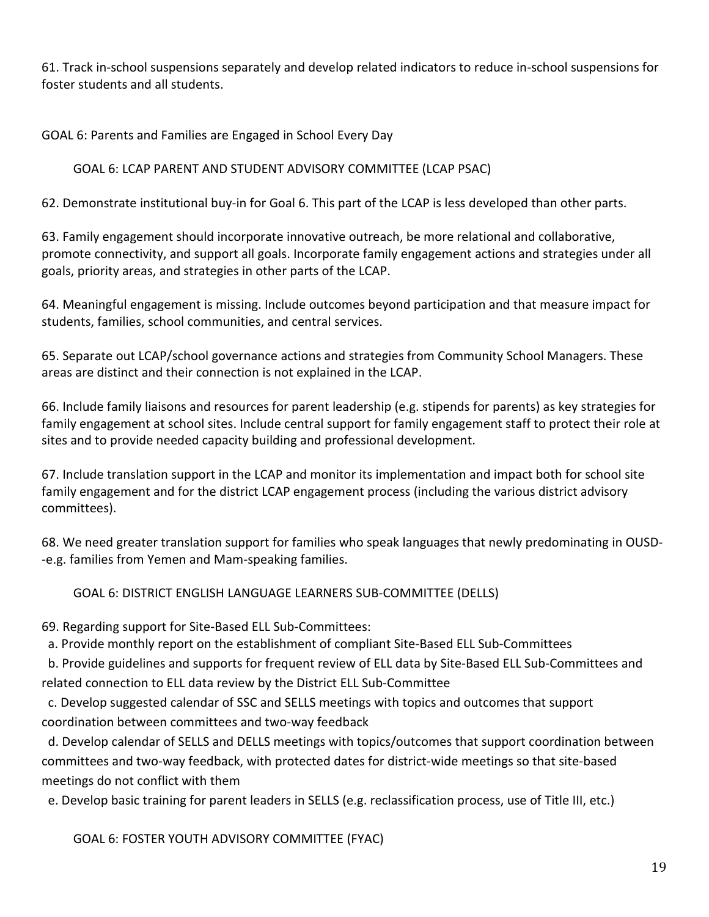61. Track in-school suspensions separately and develop related indicators to reduce in-school suspensions for foster students and all students.

GOAL 6: Parents and Families are Engaged in School Every Day

# GOAL 6: LCAP PARENT AND STUDENT ADVISORY COMMITTEE (LCAP PSAC)

62. Demonstrate institutional buy-in for Goal 6. This part of the LCAP is less developed than other parts.

63. Family engagement should incorporate innovative outreach, be more relational and collaborative, promote connectivity, and support all goals. Incorporate family engagement actions and strategies under all goals, priority areas, and strategies in other parts of the LCAP.

64. Meaningful engagement is missing. Include outcomes beyond participation and that measure impact for students, families, school communities, and central services.

65. Separate out LCAP/school governance actions and strategies from Community School Managers. These areas are distinct and their connection is not explained in the LCAP.

66. Include family liaisons and resources for parent leadership (e.g. stipends for parents) as key strategies for family engagement at school sites. Include central support for family engagement staff to protect their role at sites and to provide needed capacity building and professional development.

67. Include translation support in the LCAP and monitor its implementation and impact both for school site family engagement and for the district LCAP engagement process (including the various district advisory committees).

68. We need greater translation support for families who speak languages that newly predominating in OUSD- -e.g. families from Yemen and Mam-speaking families.

GOAL 6: DISTRICT ENGLISH LANGUAGE LEARNERS SUB-COMMITTEE (DELLS)

69. Regarding support for Site-Based ELL Sub-Committees:

a. Provide monthly report on the establishment of compliant Site-Based ELL Sub-Committees

 b. Provide guidelines and supports for frequent review of ELL data by Site-Based ELL Sub-Committees and related connection to ELL data review by the District ELL Sub-Committee

 c. Develop suggested calendar of SSC and SELLS meetings with topics and outcomes that support coordination between committees and two-way feedback

 d. Develop calendar of SELLS and DELLS meetings with topics/outcomes that support coordination between committees and two-way feedback, with protected dates for district-wide meetings so that site-based meetings do not conflict with them

e. Develop basic training for parent leaders in SELLS (e.g. reclassification process, use of Title III, etc.)

GOAL 6: FOSTER YOUTH ADVISORY COMMITTEE (FYAC)